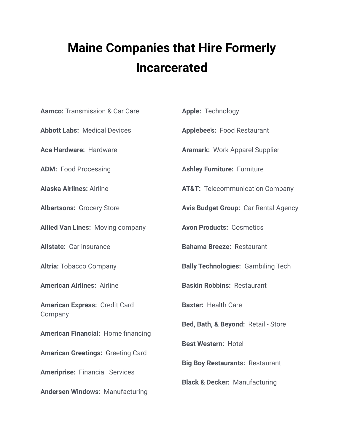## **Maine Companies that Hire Formerly Incarcerated**

| <b>Aamco: Transmission &amp; Car Care</b> | <b>Apple: Technology</b>                    |
|-------------------------------------------|---------------------------------------------|
| <b>Abbott Labs: Medical Devices</b>       | <b>Applebee's: Food Restaurant</b>          |
| Ace Hardware: Hardware                    | <b>Aramark: Work Apparel Supplier</b>       |
| <b>ADM: Food Processing</b>               | <b>Ashley Furniture: Furniture</b>          |
| <b>Alaska Airlines: Airline</b>           | <b>AT&amp;T:</b> Telecommunication Company  |
| <b>Albertsons: Grocery Store</b>          | <b>Avis Budget Group: Car Rental Agency</b> |
| <b>Allied Van Lines: Moving company</b>   | <b>Avon Products: Cosmetics</b>             |
| <b>Allstate: Car insurance</b>            | <b>Bahama Breeze: Restaurant</b>            |
| <b>Altria: Tobacco Company</b>            | <b>Bally Technologies: Gambiling Tech</b>   |
| <b>American Airlines: Airline</b>         | <b>Baskin Robbins: Restaurant</b>           |
| <b>American Express: Credit Card</b>      | <b>Baxter: Health Care</b>                  |
| Company                                   | Bed, Bath, & Beyond: Retail - Store         |
| <b>American Financial: Home financing</b> | <b>Best Western: Hotel</b>                  |
| <b>American Greetings: Greeting Card</b>  |                                             |
| <b>Ameriprise: Financial Services</b>     | <b>Big Boy Restaurants: Restaurant</b>      |
|                                           | <b>Black &amp; Decker: Manufacturing</b>    |
| <b>Andersen Windows: Manufacturing</b>    |                                             |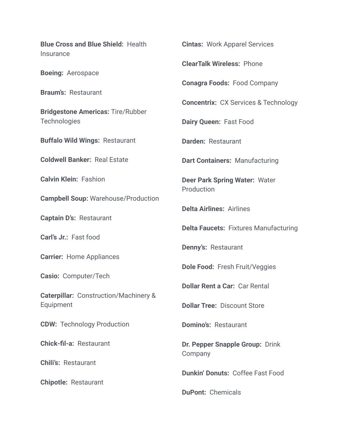**Blue Cross and Blue Shield:** Health **Insurance Boeing:** Aerospace **Braum's:** Restaurant **Bridgestone Americas:** Tire/Rubber **Technologies Buffalo Wild Wings:** Restaurant **Coldwell Banker:** Real Estate **Calvin Klein:** Fashion **Campbell Soup:** Warehouse/Production **Captain D's:** Restaurant **Carl's Jr.:** Fast food **Carrier:** Home Appliances **Casio:** Computer/Tech **Caterpillar:** Construction/Machinery & Equipment **CDW:** Technology Production **Chick-fil-a:** Restaurant **Chili's:** Restaurant **Chipotle:** Restaurant

**Cintas:** Work Apparel Services

**ClearTalk Wireless:** Phone

**Conagra Foods:** Food Company

**Concentrix:** CX Services & Technology

**Dairy Queen:** Fast Food

**Darden:** Restaurant

**Dart Containers:** Manufacturing

**Deer Park Spring Water:** Water **Production** 

**Delta Airlines:** Airlines

**Delta Faucets:** Fixtures Manufacturing

**Denny's:** Restaurant

**Dole Food:** Fresh Fruit/Veggies

**Dollar Rent a Car:** Car Rental

**Dollar Tree:** Discount Store

**Domino's:** Restaurant

**Dr. Pepper Snapple Group:** Drink Company

**Dunkin' Donuts:** Coffee Fast Food

**DuPont:** Chemicals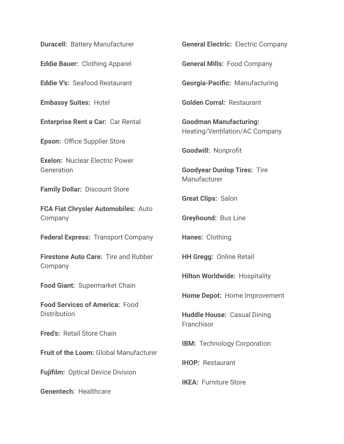**Duracell:** Battery Manufacturer

**Eddie Bauer:** Clothing Apparel

**Eddie V's:** Seafood Restaurant

**Embassy Suites:** Hotel

**Enterprise Rent a Car:** Car Rental

**Epson:** Office Supplier Store

**Exelon:** Nuclear Electric Power **Generation** 

**Family Dollar:** Discount Store

**FCA Fiat Chrysler Automobiles:** Auto Company

**Federal Express:** Transport Company

**Firestone Auto Care:** Tire and Rubber Company

**Food Giant:** Supermarket Chain

**Food Services of America:** Food **Distribution** 

**Fred's:** Retail Store Chain

**Fruit of the Loom:** Global Manufacturer

**Fujifilm:** Optical Device Division

**Genentech:** Healthcare

**General Electric:** Electric Company

**General Mills:** Food Company

**Georgia-Pacific:** Manufacturing

**Golden Corral:** Restaurant

**Goodman Manufacturing:** Heating/Ventilation/AC Company

**Goodwill:** Nonprofit

**Goodyear Dunlop Tires:** Tire **Manufacturer** 

**Great Clips:** Salon

**Greyhound:** Bus Line

**Hanes:** Clothing

**HH Gregg:** Online Retail

**Hilton Worldwide:** Hospitality

**Home Depot:** Home Improvement

**Huddle House:** Casual Dining **Franchisor** 

**IBM:** Technology Corporation

**IHOP:** Restaurant

**IKEA:** Furniture Store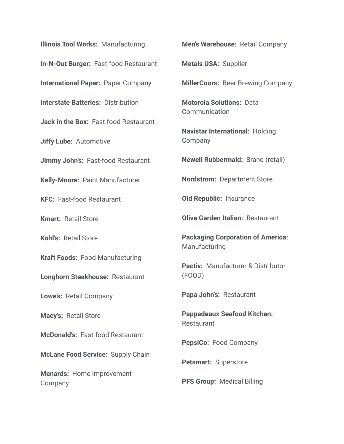**Illinois Tool Works:** Manufacturing **In-N-Out Burger:** Fast-food Restaurant **International Paper:** Paper Company **Interstate Batteries:** Distribution **Jack in the Box:** Fast-food Restaurant **Jiffy Lube:** Automotive **Jimmy John's:** Fast-food Restaurant **Kelly-Moore:** Paint Manufacturer **KFC:** Fast-food Restaurant **Kmart:** Retail Store **Kohl's:** Retail Store **Kraft Foods:** Food Manufacturing **Longhorn Steakhouse:** Restaurant **Lowe's:** Retail Company **Macy's:** Retail Store **McDonald's:** Fast-food Restaurant **McLane Food Service:** Supply Chain **Menards:** Home Improvement **Company** 

**Men's Warehouse:** Retail Company

**Metals USA:** Supplier

**MillerCoors:** Beer Brewing Company

**Motorola Solutions:** Data **Communication** 

**Navistar International:** Holding Company

**Newell Rubbermaid:** Brand (retail)

**Nordstrom:** Department Store

**Old Republic:** Insurance

**Olive Garden Italian:** Restaurant

**Packaging Corporation of America: Manufacturing** 

**Pactiv:** Manufacturer & Distributor (FOOD)

**Papa John's:** Restaurant

**Pappadeaux Seafood Kitchen:** Restaurant

**PepsiCo:** Food Company

**Petsmart:** Superstore

**PFS Group:** Medical Billing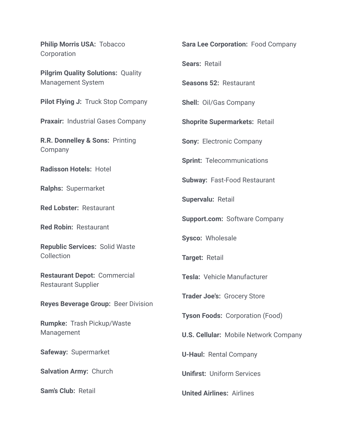**Philip Morris USA:** Tobacco **Corporation Pilgrim Quality Solutions:** Quality Management System **Pilot Flying J:** Truck Stop Company **Praxair:** Industrial Gases Company **R.R. Donnelley & Sons:** Printing Company **Radisson Hotels:** Hotel **Ralphs:** Supermarket **Red Lobster:** Restaurant **Red Robin:** Restaurant **Republic Services:** Solid Waste Collection **Restaurant Depot:** Commercial Restaurant Supplier **Reyes Beverage Group:** Beer Division **Rumpke:** Trash Pickup/Waste Management **Safeway:** Supermarket **Salvation Army:** Church **Sam's Club:** Retail **Sara Lee Corporation:** Food Company **Sears:** Retail **Seasons 52:** Restaurant **Shell:** Oil/Gas Company **Shoprite Supermarkets:** Retail **Sony:** Electronic Company **Sprint:** Telecommunications **Subway:** Fast-Food Restaurant **Supervalu:** Retail **Support.com:** Software Company **Sysco:** Wholesale **Target:** Retail **Tesla:** Vehicle Manufacturer **Trader Joe's:** Grocery Store **Tyson Foods:** Corporation (Food) **U.S. Cellular:** Mobile Network Company **U-Haul:** Rental Company **Unifirst:** Uniform Services **United Airlines:** Airlines